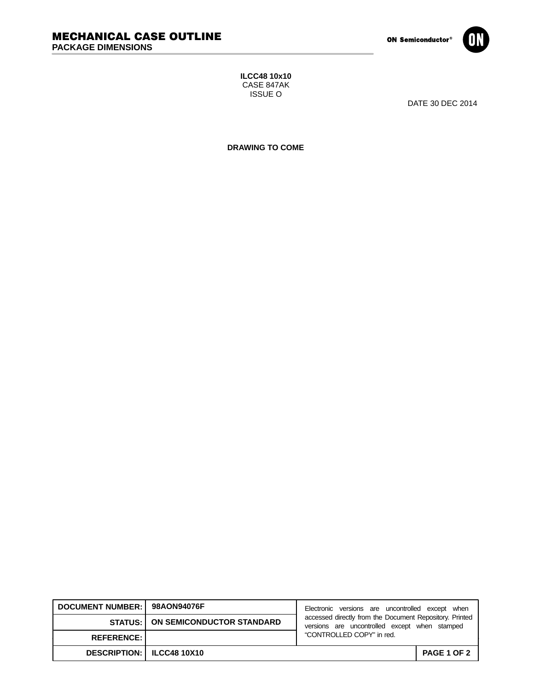

**ILCC48 10x10** CASE 847AK ISSUE O

DATE 30 DEC 2014

**DRAWING TO COME**

| DOCUMENT NUMBER: 98AON94076F       |                                            | Electronic versions are uncontrolled except when                                                         |                    |
|------------------------------------|--------------------------------------------|----------------------------------------------------------------------------------------------------------|--------------------|
|                                    | <b>STATUS:   ON SEMICONDUCTOR STANDARD</b> | accessed directly from the Document Repository. Printed<br>versions are uncontrolled except when stamped |                    |
| <b>REFERENCE:</b>                  |                                            | "CONTROLLED COPY" in red.                                                                                |                    |
| <b>DESCRIPTION:   ILCC48 10X10</b> |                                            |                                                                                                          | <b>PAGE 1 OF 2</b> |